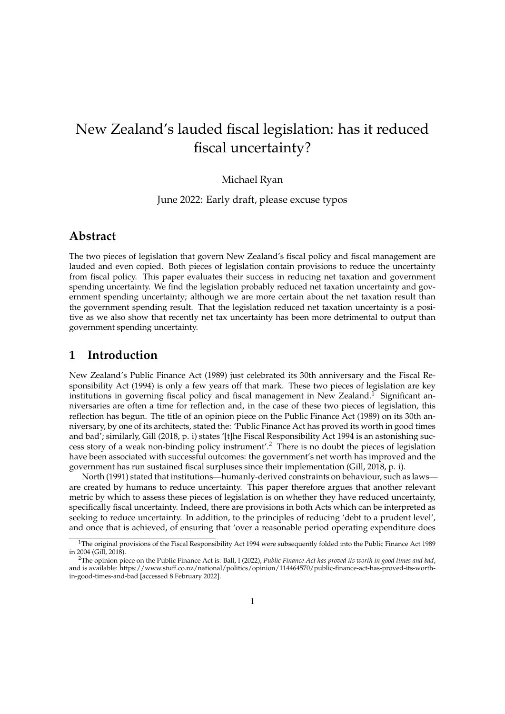# New Zealand's lauded fiscal legislation: has it reduced fiscal uncertainty?

#### Michael Ryan

June 2022: Early draft, please excuse typos

## **Abstract**

The two pieces of legislation that govern New Zealand's fiscal policy and fiscal management are lauded and even copied. Both pieces of legislation contain provisions to reduce the uncertainty from fiscal policy. This paper evaluates their success in reducing net taxation and government spending uncertainty. We find the legislation probably reduced net taxation uncertainty and government spending uncertainty; although we are more certain about the net taxation result than the government spending result. That the legislation reduced net taxation uncertainty is a positive as we also show that recently net tax uncertainty has been more detrimental to output than government spending uncertainty.

## **1 Introduction**

New Zealand's Public Finance Act (1989) just celebrated its 30th anniversary and the Fiscal Responsibility Act (1994) is only a few years off that mark. These two pieces of legislation are key institutions in governing fiscal policy and fiscal management in New Zealand.<sup>1</sup> Significant anniversaries are often a time for reflection and, in the case of these two pieces of legislation, this reflection has begun. The title of an opinion piece on the Public Finance Act (1989) on its 30th anniversary, by one of its architects, stated the: 'Public Finance Act has proved its worth in good times and bad'; similarly, Gill (2018, p. i) states '[t]he Fiscal Responsibility Act 1994 is an astonishing success story of a weak non-binding policy instrument'.<sup>2</sup> There is no doubt the pieces of legislation have been associated with successful outcomes: the government's net worth has improved and the government has run sustained fiscal surpluses since their implementation (Gill, 2018, p. i).

North (1991) stated that institutions—humanly-derived constraints on behaviour, such as laws are created by humans to reduce uncertainty. This paper therefore argues that another relevant metric by which to assess these pieces of legislation is on whether they have reduced uncertainty, specifically fiscal uncertainty. Indeed, there are provisions in both Acts which can be interpreted as seeking to reduce uncertainty. In addition, to the principles of reducing 'debt to a prudent level', and once that is achieved, of ensuring that 'over a reasonable period operating expenditure does

 $1$ The original provisions of the Fiscal Responsibility Act 1994 were subsequently folded into the Public Finance Act 1989 in 2004 (Gill, 2018).

<sup>2</sup>The opinion piece on the Public Finance Act is: Ball, I (2022), *Public Finance Act has proved its worth in good times and bad*, and is available: https://www.stuff.co.nz/national/politics/opinion/114464570/public-finance-act-has-proved-its-worthin-good-times-and-bad [accessed 8 February 2022].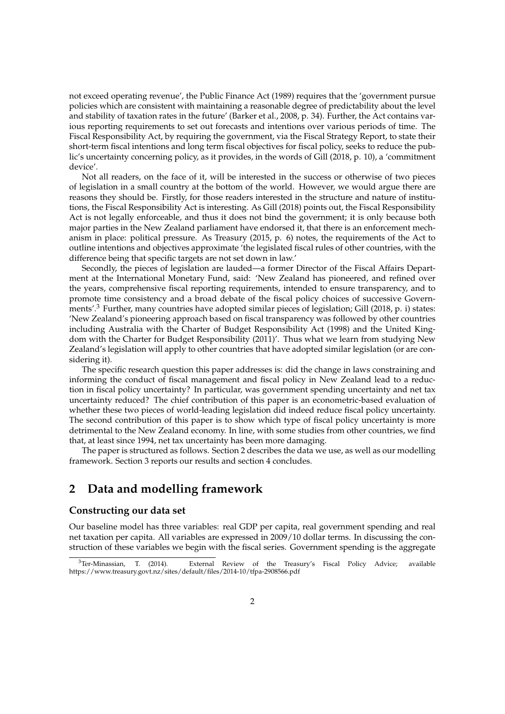not exceed operating revenue', the Public Finance Act (1989) requires that the 'government pursue policies which are consistent with maintaining a reasonable degree of predictability about the level and stability of taxation rates in the future' (Barker et al., 2008, p. 34). Further, the Act contains various reporting requirements to set out forecasts and intentions over various periods of time. The Fiscal Responsibility Act, by requiring the government, via the Fiscal Strategy Report, to state their short-term fiscal intentions and long term fiscal objectives for fiscal policy, seeks to reduce the public's uncertainty concerning policy, as it provides, in the words of Gill (2018, p. 10), a 'commitment device'.

Not all readers, on the face of it, will be interested in the success or otherwise of two pieces of legislation in a small country at the bottom of the world. However, we would argue there are reasons they should be. Firstly, for those readers interested in the structure and nature of institutions, the Fiscal Responsibility Act is interesting. As Gill (2018) points out, the Fiscal Responsibility Act is not legally enforceable, and thus it does not bind the government; it is only because both major parties in the New Zealand parliament have endorsed it, that there is an enforcement mechanism in place: political pressure. As Treasury (2015, p. 6) notes, the requirements of the Act to outline intentions and objectives approximate 'the legislated fiscal rules of other countries, with the difference being that specific targets are not set down in law.'

Secondly, the pieces of legislation are lauded—a former Director of the Fiscal Affairs Department at the International Monetary Fund, said: 'New Zealand has pioneered, and refined over the years, comprehensive fiscal reporting requirements, intended to ensure transparency, and to promote time consistency and a broad debate of the fiscal policy choices of successive Governments'.<sup>3</sup> Further, many countries have adopted similar pieces of legislation; Gill (2018, p. i) states: 'New Zealand's pioneering approach based on fiscal transparency was followed by other countries including Australia with the Charter of Budget Responsibility Act (1998) and the United Kingdom with the Charter for Budget Responsibility (2011)'. Thus what we learn from studying New Zealand's legislation will apply to other countries that have adopted similar legislation (or are considering it).

The specific research question this paper addresses is: did the change in laws constraining and informing the conduct of fiscal management and fiscal policy in New Zealand lead to a reduction in fiscal policy uncertainty? In particular, was government spending uncertainty and net tax uncertainty reduced? The chief contribution of this paper is an econometric-based evaluation of whether these two pieces of world-leading legislation did indeed reduce fiscal policy uncertainty. The second contribution of this paper is to show which type of fiscal policy uncertainty is more detrimental to the New Zealand economy. In line, with some studies from other countries, we find that, at least since 1994, net tax uncertainty has been more damaging.

The paper is structured as follows. Section 2 describes the data we use, as well as our modelling framework. Section 3 reports our results and section 4 concludes.

# **2 Data and modelling framework**

#### **Constructing our data set**

Our baseline model has three variables: real GDP per capita, real government spending and real net taxation per capita. All variables are expressed in 2009/10 dollar terms. In discussing the construction of these variables we begin with the fiscal series. Government spending is the aggregate

<sup>3</sup>Ter-Minassian, T. (2014). External Review of the Treasury's Fiscal Policy Advice; available https://www.treasury.govt.nz/sites/default/files/2014-10/tfpa-2908566.pdf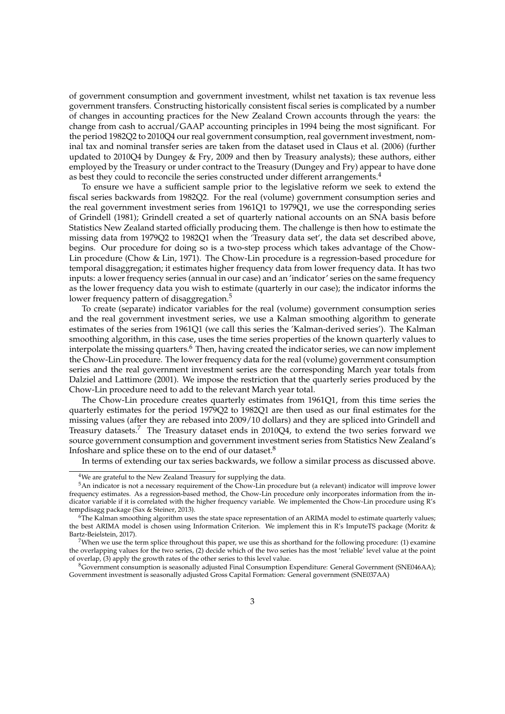of government consumption and government investment, whilst net taxation is tax revenue less government transfers. Constructing historically consistent fiscal series is complicated by a number of changes in accounting practices for the New Zealand Crown accounts through the years: the change from cash to accrual/GAAP accounting principles in 1994 being the most significant. For the period 1982Q2 to 2010Q4 our real government consumption, real government investment, nominal tax and nominal transfer series are taken from the dataset used in Claus et al. (2006) (further updated to 2010Q4 by Dungey & Fry, 2009 and then by Treasury analysts); these authors, either employed by the Treasury or under contract to the Treasury (Dungey and Fry) appear to have done as best they could to reconcile the series constructed under different arrangements.<sup>4</sup>

To ensure we have a sufficient sample prior to the legislative reform we seek to extend the fiscal series backwards from 1982Q2. For the real (volume) government consumption series and the real government investment series from 1961Q1 to 1979Q1, we use the corresponding series of Grindell (1981); Grindell created a set of quarterly national accounts on an SNA basis before Statistics New Zealand started officially producing them. The challenge is then how to estimate the missing data from 1979Q2 to 1982Q1 when the 'Treasury data set', the data set described above, begins. Our procedure for doing so is a two-step process which takes advantage of the Chow-Lin procedure (Chow & Lin, 1971). The Chow-Lin procedure is a regression-based procedure for temporal disaggregation; it estimates higher frequency data from lower frequency data. It has two inputs: a lower frequency series (annual in our case) and an 'indicator' series on the same frequency as the lower frequency data you wish to estimate (quarterly in our case); the indicator informs the lower frequency pattern of disaggregation.<sup>5</sup>

To create (separate) indicator variables for the real (volume) government consumption series and the real government investment series, we use a Kalman smoothing algorithm to generate estimates of the series from 1961Q1 (we call this series the 'Kalman-derived series'). The Kalman smoothing algorithm, in this case, uses the time series properties of the known quarterly values to interpolate the missing quarters.<sup>6</sup> Then, having created the indicator series, we can now implement the Chow-Lin procedure. The lower frequency data for the real (volume) government consumption series and the real government investment series are the corresponding March year totals from Dalziel and Lattimore (2001). We impose the restriction that the quarterly series produced by the Chow-Lin procedure need to add to the relevant March year total.

The Chow-Lin procedure creates quarterly estimates from 1961Q1, from this time series the quarterly estimates for the period 1979Q2 to 1982Q1 are then used as our final estimates for the missing values (after they are rebased into 2009/10 dollars) and they are spliced into Grindell and Treasury datasets.<sup>7</sup> The Treasury dataset ends in 2010Q4, to extend the two series forward we source government consumption and government investment series from Statistics New Zealand's Infoshare and splice these on to the end of our dataset.<sup>8</sup>

In terms of extending our tax series backwards, we follow a similar process as discussed above.

<sup>&</sup>lt;sup>4</sup>We are grateful to the New Zealand Treasury for supplying the data.

<sup>5</sup>An indicator is not a necessary requirement of the Chow-Lin procedure but (a relevant) indicator will improve lower frequency estimates. As a regression-based method, the Chow-Lin procedure only incorporates information from the indicator variable if it is correlated with the higher frequency variable. We implemented the Chow-Lin procedure using R's tempdisagg package (Sax & Steiner, 2013).

 $6$ The Kalman smoothing algorithm uses the state space representation of an ARIMA model to estimate quarterly values; the best ARIMA model is chosen using Information Criterion. We implement this in R's ImputeTS package (Moritz & Bartz-Beielstein, 2017).

<sup>&</sup>lt;sup>7</sup>When we use the term splice throughout this paper, we use this as shorthand for the following procedure: (1) examine the overlapping values for the two series, (2) decide which of the two series has the most 'reliable' level value at the point of overlap, (3) apply the growth rates of the other series to this level value.

<sup>&</sup>lt;sup>8</sup>Government consumption is seasonally adjusted Final Consumption Expenditure: General Government (SNE046AA); Government investment is seasonally adjusted Gross Capital Formation: General government (SNE037AA)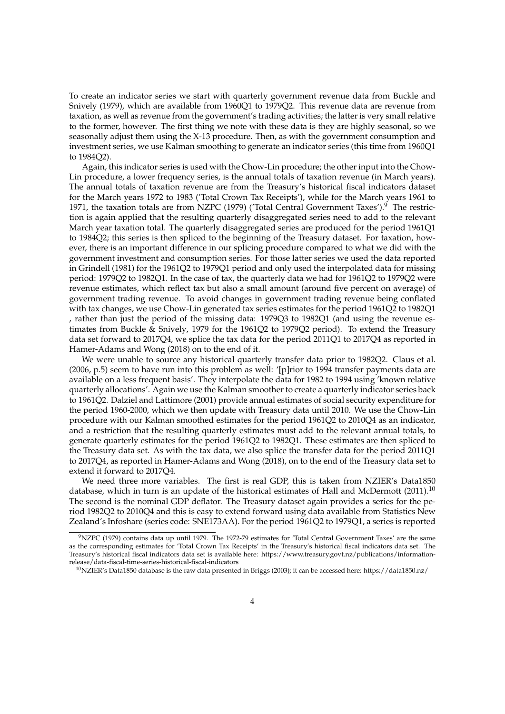To create an indicator series we start with quarterly government revenue data from Buckle and Snively (1979), which are available from 1960Q1 to 1979Q2. This revenue data are revenue from taxation, as well as revenue from the government's trading activities; the latter is very small relative to the former, however. The first thing we note with these data is they are highly seasonal, so we seasonally adjust them using the X-13 procedure. Then, as with the government consumption and investment series, we use Kalman smoothing to generate an indicator series (this time from 1960Q1 to 1984Q2).

Again, this indicator series is used with the Chow-Lin procedure; the other input into the Chow-Lin procedure, a lower frequency series, is the annual totals of taxation revenue (in March years). The annual totals of taxation revenue are from the Treasury's historical fiscal indicators dataset for the March years 1972 to 1983 ('Total Crown Tax Receipts'), while for the March years 1961 to 1971, the taxation totals are from NZPC (1979) ('Total Central Government Taxes'). $9$  The restriction is again applied that the resulting quarterly disaggregated series need to add to the relevant March year taxation total. The quarterly disaggregated series are produced for the period 1961Q1 to 1984Q2; this series is then spliced to the beginning of the Treasury dataset. For taxation, however, there is an important difference in our splicing procedure compared to what we did with the government investment and consumption series. For those latter series we used the data reported in Grindell (1981) for the 1961Q2 to 1979Q1 period and only used the interpolated data for missing period: 1979Q2 to 1982Q1. In the case of tax, the quarterly data we had for 1961Q2 to 1979Q2 were revenue estimates, which reflect tax but also a small amount (around five percent on average) of government trading revenue. To avoid changes in government trading revenue being conflated with tax changes, we use Chow-Lin generated tax series estimates for the period 1961Q2 to 1982Q1 , rather than just the period of the missing data: 1979Q3 to 1982Q1 (and using the revenue estimates from Buckle & Snively, 1979 for the 1961Q2 to 1979Q2 period). To extend the Treasury data set forward to 2017Q4, we splice the tax data for the period 2011Q1 to 2017Q4 as reported in Hamer-Adams and Wong (2018) on to the end of it.

We were unable to source any historical quarterly transfer data prior to 1982Q2. Claus et al. (2006, p.5) seem to have run into this problem as well: '[p]rior to 1994 transfer payments data are available on a less frequent basis'. They interpolate the data for 1982 to 1994 using 'known relative quarterly allocations'. Again we use the Kalman smoother to create a quarterly indicator series back to 1961Q2. Dalziel and Lattimore (2001) provide annual estimates of social security expenditure for the period 1960-2000, which we then update with Treasury data until 2010. We use the Chow-Lin procedure with our Kalman smoothed estimates for the period 1961Q2 to 2010Q4 as an indicator, and a restriction that the resulting quarterly estimates must add to the relevant annual totals, to generate quarterly estimates for the period 1961Q2 to 1982Q1. These estimates are then spliced to the Treasury data set. As with the tax data, we also splice the transfer data for the period 2011Q1 to 2017Q4, as reported in Hamer-Adams and Wong (2018), on to the end of the Treasury data set to extend it forward to 2017Q4.

We need three more variables. The first is real GDP, this is taken from NZIER's Data1850 database, which in turn is an update of the historical estimates of Hall and McDermott  $(2011).^{10}$ The second is the nominal GDP deflator. The Treasury dataset again provides a series for the period 1982Q2 to 2010Q4 and this is easy to extend forward using data available from Statistics New Zealand's Infoshare (series code: SNE173AA). For the period 1961Q2 to 1979Q1, a series is reported

 $9NZPC$  (1979) contains data up until 1979. The 1972-79 estimates for 'Total Central Government Taxes' are the same as the corresponding estimates for 'Total Crown Tax Receipts' in the Treasury's historical fiscal indicators data set. The Treasury's historical fiscal indicators data set is available here: https://www.treasury.govt.nz/publications/informationrelease/data-fiscal-time-series-historical-fiscal-indicators

<sup>10</sup>NZIER's Data1850 database is the raw data presented in Briggs (2003); it can be accessed here: https://data1850.nz/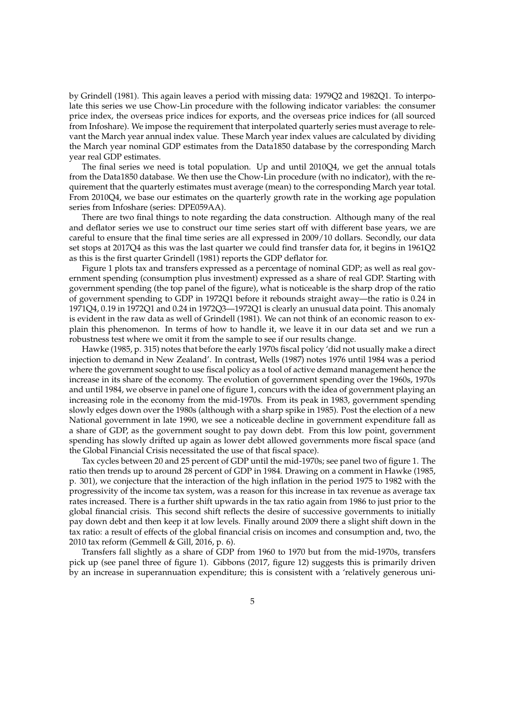by Grindell (1981). This again leaves a period with missing data: 1979Q2 and 1982Q1. To interpolate this series we use Chow-Lin procedure with the following indicator variables: the consumer price index, the overseas price indices for exports, and the overseas price indices for (all sourced from Infoshare). We impose the requirement that interpolated quarterly series must average to relevant the March year annual index value. These March year index values are calculated by dividing the March year nominal GDP estimates from the Data1850 database by the corresponding March year real GDP estimates.

The final series we need is total population. Up and until 2010Q4, we get the annual totals from the Data1850 database. We then use the Chow-Lin procedure (with no indicator), with the requirement that the quarterly estimates must average (mean) to the corresponding March year total. From 2010Q4, we base our estimates on the quarterly growth rate in the working age population series from Infoshare (series: DPE059AA).

There are two final things to note regarding the data construction. Although many of the real and deflator series we use to construct our time series start off with different base years, we are careful to ensure that the final time series are all expressed in 2009/10 dollars. Secondly, our data set stops at 2017Q4 as this was the last quarter we could find transfer data for, it begins in 1961Q2 as this is the first quarter Grindell (1981) reports the GDP deflator for.

Figure 1 plots tax and transfers expressed as a percentage of nominal GDP; as well as real government spending (consumption plus investment) expressed as a share of real GDP. Starting with government spending (the top panel of the figure), what is noticeable is the sharp drop of the ratio of government spending to GDP in 1972Q1 before it rebounds straight away—the ratio is 0.24 in 1971Q4, 0.19 in 1972Q1 and 0.24 in 1972Q3—1972Q1 is clearly an unusual data point. This anomaly is evident in the raw data as well of Grindell (1981). We can not think of an economic reason to explain this phenomenon. In terms of how to handle it, we leave it in our data set and we run a robustness test where we omit it from the sample to see if our results change.

Hawke (1985, p. 315) notes that before the early 1970s fiscal policy 'did not usually make a direct injection to demand in New Zealand'. In contrast, Wells (1987) notes 1976 until 1984 was a period where the government sought to use fiscal policy as a tool of active demand management hence the increase in its share of the economy. The evolution of government spending over the 1960s, 1970s and until 1984, we observe in panel one of figure 1, concurs with the idea of government playing an increasing role in the economy from the mid-1970s. From its peak in 1983, government spending slowly edges down over the 1980s (although with a sharp spike in 1985). Post the election of a new National government in late 1990, we see a noticeable decline in government expenditure fall as a share of GDP, as the government sought to pay down debt. From this low point, government spending has slowly drifted up again as lower debt allowed governments more fiscal space (and the Global Financial Crisis necessitated the use of that fiscal space).

Tax cycles between 20 and 25 percent of GDP until the mid-1970s; see panel two of figure 1. The ratio then trends up to around 28 percent of GDP in 1984. Drawing on a comment in Hawke (1985, p. 301), we conjecture that the interaction of the high inflation in the period 1975 to 1982 with the progressivity of the income tax system, was a reason for this increase in tax revenue as average tax rates increased. There is a further shift upwards in the tax ratio again from 1986 to just prior to the global financial crisis. This second shift reflects the desire of successive governments to initially pay down debt and then keep it at low levels. Finally around 2009 there a slight shift down in the tax ratio: a result of effects of the global financial crisis on incomes and consumption and, two, the 2010 tax reform (Gemmell & Gill, 2016, p. 6).

Transfers fall slightly as a share of GDP from 1960 to 1970 but from the mid-1970s, transfers pick up (see panel three of figure 1). Gibbons (2017, figure 12) suggests this is primarily driven by an increase in superannuation expenditure; this is consistent with a 'relatively generous uni-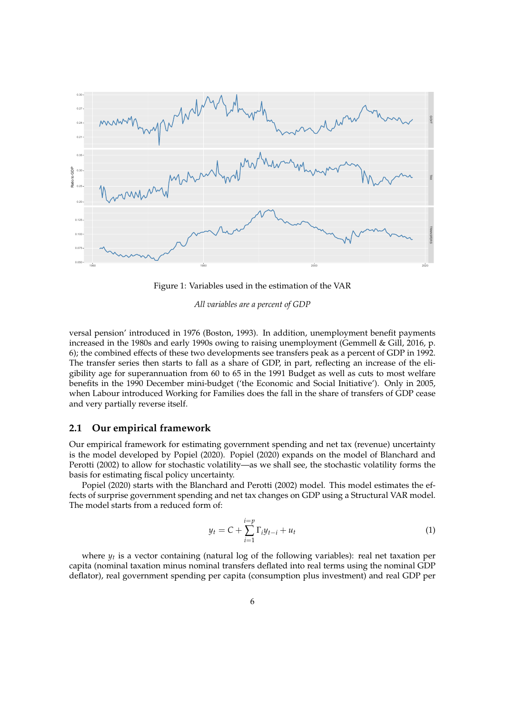

Figure 1: Variables used in the estimation of the VAR

*All variables are a percent of GDP*

versal pension' introduced in 1976 (Boston, 1993). In addition, unemployment benefit payments increased in the 1980s and early 1990s owing to raising unemployment (Gemmell & Gill, 2016, p. 6); the combined effects of these two developments see transfers peak as a percent of GDP in 1992. The transfer series then starts to fall as a share of GDP, in part, reflecting an increase of the eligibility age for superannuation from 60 to 65 in the 1991 Budget as well as cuts to most welfare benefits in the 1990 December mini-budget ('the Economic and Social Initiative'). Only in 2005, when Labour introduced Working for Families does the fall in the share of transfers of GDP cease and very partially reverse itself.

#### **2.1 Our empirical framework**

Our empirical framework for estimating government spending and net tax (revenue) uncertainty is the model developed by Popiel (2020). Popiel (2020) expands on the model of Blanchard and Perotti (2002) to allow for stochastic volatility—as we shall see, the stochastic volatility forms the basis for estimating fiscal policy uncertainty.

Popiel (2020) starts with the Blanchard and Perotti (2002) model. This model estimates the effects of surprise government spending and net tax changes on GDP using a Structural VAR model. The model starts from a reduced form of:

$$
y_t = C + \sum_{i=1}^{i=p} \Gamma_i y_{t-i} + u_t
$$
 (1)

where *y<sup>t</sup>* is a vector containing (natural log of the following variables): real net taxation per capita (nominal taxation minus nominal transfers deflated into real terms using the nominal GDP deflator), real government spending per capita (consumption plus investment) and real GDP per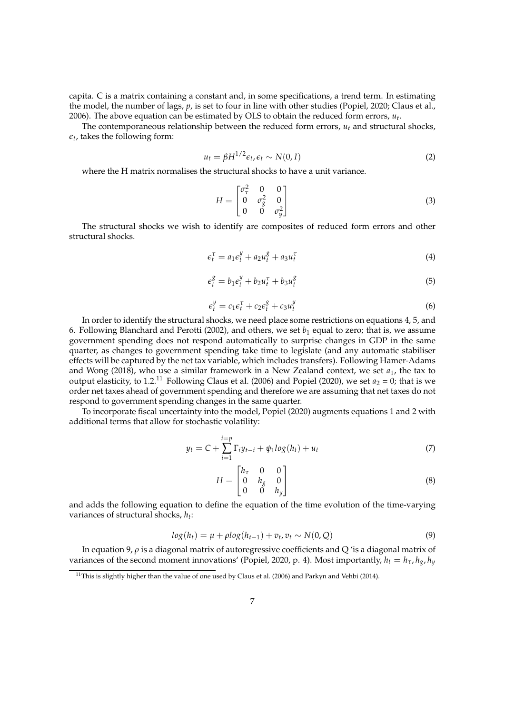capita. C is a matrix containing a constant and, in some specifications, a trend term. In estimating the model, the number of lags, *p*, is set to four in line with other studies (Popiel, 2020; Claus et al., 2006). The above equation can be estimated by OLS to obtain the reduced form errors,  $u_t$ .

The contemporaneous relationship between the reduced form errors,  $u_t$  and structural shocks,  $\epsilon_t$ , takes the following form:

$$
u_t = \beta H^{1/2} \epsilon_t, \epsilon_t \sim N(0, I)
$$
 (2)

where the H matrix normalises the structural shocks to have a unit variance.

$$
H = \begin{bmatrix} \sigma_{\tau}^{2} & 0 & 0\\ 0 & \sigma_{g}^{2} & 0\\ 0 & 0 & \sigma_{g}^{2} \end{bmatrix}
$$
 (3)

The structural shocks we wish to identify are composites of reduced form errors and other structural shocks.

$$
\epsilon_t^{\tau} = a_1 \epsilon_t^{\mathcal{Y}} + a_2 u_t^{\mathcal{S}} + a_3 u_t^{\tau}
$$
\n<sup>(4)</sup>

$$
\epsilon_t^g = b_1 \epsilon_t^y + b_2 u_t^\tau + b_3 u_t^g \tag{5}
$$

$$
\epsilon_t^y = c_1 \epsilon_t^{\tau} + c_2 \epsilon_t^g + c_3 u_t^y \tag{6}
$$

In order to identify the structural shocks, we need place some restrictions on equations 4, 5, and 6. Following Blanchard and Perotti (2002), and others, we set  $b_1$  equal to zero; that is, we assume government spending does not respond automatically to surprise changes in GDP in the same quarter, as changes to government spending take time to legislate (and any automatic stabiliser effects will be captured by the net tax variable, which includes transfers). Following Hamer-Adams and Wong (2018), who use a similar framework in a New Zealand context, we set *a*1, the tax to output elasticity, to 1.2.<sup>11</sup> Following Claus et al. (2006) and Popiel (2020), we set  $a_2 = 0$ ; that is we order net taxes ahead of government spending and therefore we are assuming that net taxes do not respond to government spending changes in the same quarter.

To incorporate fiscal uncertainty into the model, Popiel (2020) augments equations 1 and 2 with additional terms that allow for stochastic volatility:

$$
y_t = C + \sum_{i=1}^{i=p} \Gamma_i y_{t-i} + \psi_1 \log(h_t) + u_t \tag{7}
$$

$$
H = \begin{bmatrix} h_{\tau} & 0 & 0 \\ 0 & h_{g} & 0 \\ 0 & 0 & h_{y} \end{bmatrix}
$$
 (8)

and adds the following equation to define the equation of the time evolution of the time-varying variances of structural shocks, *h<sup>t</sup>* :

$$
log(h_t) = \mu + \rho log(h_{t-1}) + v_t, v_t \sim N(0, Q)
$$
\n(9)

In equation 9, *ρ* is a diagonal matrix of autoregressive coefficients and Q 'is a diagonal matrix of variances of the second moment innovations' (Popiel, 2020, p. 4). Most importantly,  $h_t = h_\tau, h_g, h_y$ 

<sup>&</sup>lt;sup>11</sup>This is slightly higher than the value of one used by Claus et al. (2006) and Parkyn and Vehbi (2014).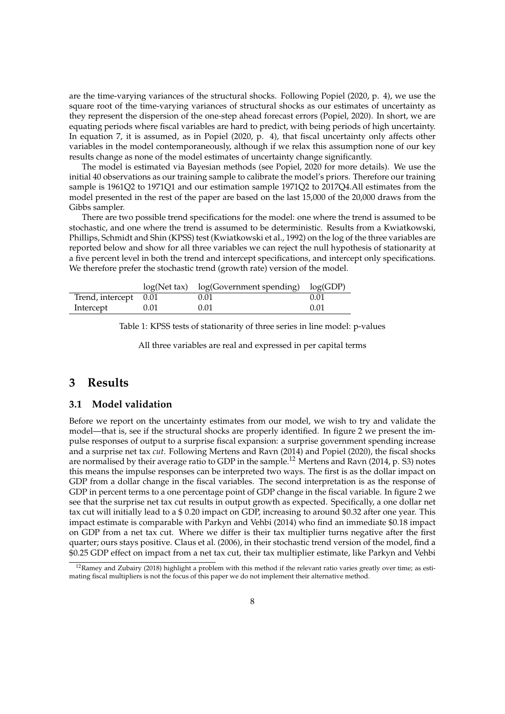are the time-varying variances of the structural shocks. Following Popiel (2020, p. 4), we use the square root of the time-varying variances of structural shocks as our estimates of uncertainty as they represent the dispersion of the one-step ahead forecast errors (Popiel, 2020). In short, we are equating periods where fiscal variables are hard to predict, with being periods of high uncertainty. In equation 7, it is assumed, as in Popiel (2020, p. 4), that fiscal uncertainty only affects other variables in the model contemporaneously, although if we relax this assumption none of our key results change as none of the model estimates of uncertainty change significantly.

The model is estimated via Bayesian methods (see Popiel, 2020 for more details). We use the initial 40 observations as our training sample to calibrate the model's priors. Therefore our training sample is 1961Q2 to 1971Q1 and our estimation sample 1971Q2 to 2017Q4.All estimates from the model presented in the rest of the paper are based on the last 15,000 of the 20,000 draws from the Gibbs sampler.

There are two possible trend specifications for the model: one where the trend is assumed to be stochastic, and one where the trend is assumed to be deterministic. Results from a Kwiatkowski, Phillips, Schmidt and Shin (KPSS) test (Kwiatkowski et al., 1992) on the log of the three variables are reported below and show for all three variables we can reject the null hypothesis of stationarity at a five percent level in both the trend and intercept specifications, and intercept only specifications. We therefore prefer the stochastic trend (growth rate) version of the model.

|                       |      | $log(Net tax)$ $log(Government spending)$ $log(GDP)$ |      |
|-----------------------|------|------------------------------------------------------|------|
| Trend, intercept 0.01 |      | 0.01                                                 | 0.01 |
| Intercept             | 0.01 | 0.01                                                 | 0.01 |

Table 1: KPSS tests of stationarity of three series in line model: p-values

All three variables are real and expressed in per capital terms

# **3 Results**

#### **3.1 Model validation**

Before we report on the uncertainty estimates from our model, we wish to try and validate the model—that is, see if the structural shocks are properly identified. In figure 2 we present the impulse responses of output to a surprise fiscal expansion: a surprise government spending increase and a surprise net tax *cut*. Following Mertens and Ravn (2014) and Popiel (2020), the fiscal shocks are normalised by their average ratio to GDP in the sample.<sup>12</sup> Mertens and Ravn (2014, p. S3) notes this means the impulse responses can be interpreted two ways. The first is as the dollar impact on GDP from a dollar change in the fiscal variables. The second interpretation is as the response of GDP in percent terms to a one percentage point of GDP change in the fiscal variable. In figure 2 we see that the surprise net tax cut results in output growth as expected. Specifically, a one dollar net tax cut will initially lead to a \$ 0.20 impact on GDP, increasing to around \$0.32 after one year. This impact estimate is comparable with Parkyn and Vehbi (2014) who find an immediate \$0.18 impact on GDP from a net tax cut. Where we differ is their tax multiplier turns negative after the first quarter; ours stays positive. Claus et al. (2006), in their stochastic trend version of the model, find a \$0.25 GDP effect on impact from a net tax cut, their tax multiplier estimate, like Parkyn and Vehbi

 $12$ Ramey and Zubairy (2018) highlight a problem with this method if the relevant ratio varies greatly over time; as estimating fiscal multipliers is not the focus of this paper we do not implement their alternative method.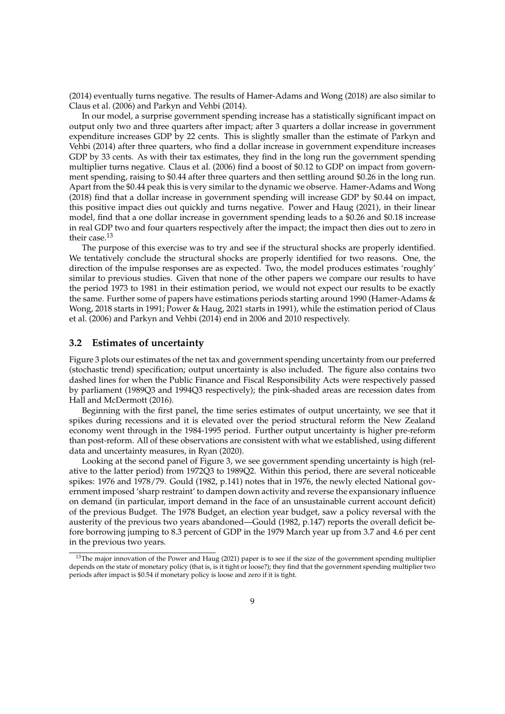(2014) eventually turns negative. The results of Hamer-Adams and Wong (2018) are also similar to Claus et al. (2006) and Parkyn and Vehbi (2014).

In our model, a surprise government spending increase has a statistically significant impact on output only two and three quarters after impact; after 3 quarters a dollar increase in government expenditure increases GDP by 22 cents. This is slightly smaller than the estimate of Parkyn and Vehbi (2014) after three quarters, who find a dollar increase in government expenditure increases GDP by 33 cents. As with their tax estimates, they find in the long run the government spending multiplier turns negative. Claus et al. (2006) find a boost of \$0.12 to GDP on impact from government spending, raising to \$0.44 after three quarters and then settling around \$0.26 in the long run. Apart from the \$0.44 peak this is very similar to the dynamic we observe. Hamer-Adams and Wong (2018) find that a dollar increase in government spending will increase GDP by \$0.44 on impact, this positive impact dies out quickly and turns negative. Power and Haug (2021), in their linear model, find that a one dollar increase in government spending leads to a \$0.26 and \$0.18 increase in real GDP two and four quarters respectively after the impact; the impact then dies out to zero in their case.<sup>13</sup>

The purpose of this exercise was to try and see if the structural shocks are properly identified. We tentatively conclude the structural shocks are properly identified for two reasons. One, the direction of the impulse responses are as expected. Two, the model produces estimates 'roughly' similar to previous studies. Given that none of the other papers we compare our results to have the period 1973 to 1981 in their estimation period, we would not expect our results to be exactly the same. Further some of papers have estimations periods starting around 1990 (Hamer-Adams & Wong, 2018 starts in 1991; Power & Haug, 2021 starts in 1991), while the estimation period of Claus et al. (2006) and Parkyn and Vehbi (2014) end in 2006 and 2010 respectively.

#### **3.2 Estimates of uncertainty**

Figure 3 plots our estimates of the net tax and government spending uncertainty from our preferred (stochastic trend) specification; output uncertainty is also included. The figure also contains two dashed lines for when the Public Finance and Fiscal Responsibility Acts were respectively passed by parliament (1989Q3 and 1994Q3 respectively); the pink-shaded areas are recession dates from Hall and McDermott (2016).

Beginning with the first panel, the time series estimates of output uncertainty, we see that it spikes during recessions and it is elevated over the period structural reform the New Zealand economy went through in the 1984-1995 period. Further output uncertainty is higher pre-reform than post-reform. All of these observations are consistent with what we established, using different data and uncertainty measures, in Ryan (2020).

Looking at the second panel of Figure 3, we see government spending uncertainty is high (relative to the latter period) from 1972Q3 to 1989Q2. Within this period, there are several noticeable spikes: 1976 and 1978/79. Gould (1982, p.141) notes that in 1976, the newly elected National government imposed 'sharp restraint' to dampen down activity and reverse the expansionary influence on demand (in particular, import demand in the face of an unsustainable current account deficit) of the previous Budget. The 1978 Budget, an election year budget, saw a policy reversal with the austerity of the previous two years abandoned—Gould (1982, p.147) reports the overall deficit before borrowing jumping to 8.3 percent of GDP in the 1979 March year up from 3.7 and 4.6 per cent in the previous two years.

<sup>&</sup>lt;sup>13</sup>The major innovation of the Power and Haug (2021) paper is to see if the size of the government spending multiplier depends on the state of monetary policy (that is, is it tight or loose?); they find that the government spending multiplier two periods after impact is \$0.54 if monetary policy is loose and zero if it is tight.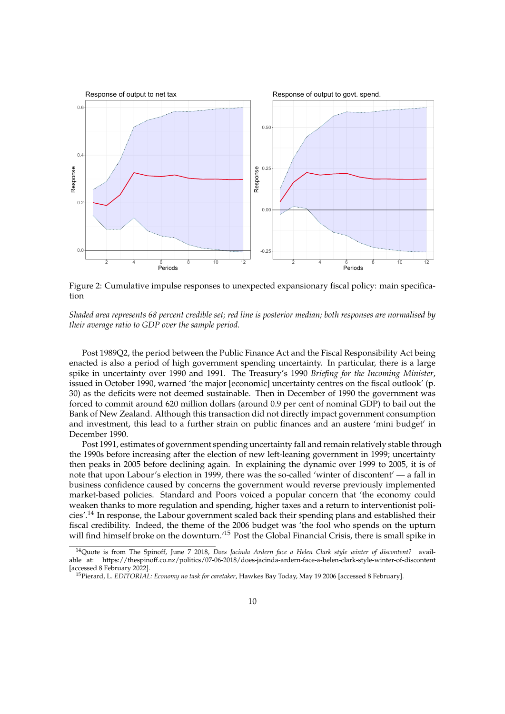

Figure 2: Cumulative impulse responses to unexpected expansionary fiscal policy: main specification

*Shaded area represents 68 percent credible set; red line is posterior median; both responses are normalised by their average ratio to GDP over the sample period.*

Post 1989Q2, the period between the Public Finance Act and the Fiscal Responsibility Act being enacted is also a period of high government spending uncertainty. In particular, there is a large spike in uncertainty over 1990 and 1991. The Treasury's 1990 *Briefing for the Incoming Minister*, issued in October 1990, warned 'the major [economic] uncertainty centres on the fiscal outlook' (p. 30) as the deficits were not deemed sustainable. Then in December of 1990 the government was forced to commit around 620 million dollars (around 0.9 per cent of nominal GDP) to bail out the Bank of New Zealand. Although this transaction did not directly impact government consumption and investment, this lead to a further strain on public finances and an austere 'mini budget' in December 1990.

Post 1991, estimates of government spending uncertainty fall and remain relatively stable through the 1990s before increasing after the election of new left-leaning government in 1999; uncertainty then peaks in 2005 before declining again. In explaining the dynamic over 1999 to 2005, it is of note that upon Labour's election in 1999, there was the so-called 'winter of discontent' — a fall in business confidence caused by concerns the government would reverse previously implemented market-based policies. Standard and Poors voiced a popular concern that 'the economy could weaken thanks to more regulation and spending, higher taxes and a return to interventionist policies'.<sup>14</sup> In response, the Labour government scaled back their spending plans and established their fiscal credibility. Indeed, the theme of the 2006 budget was 'the fool who spends on the upturn will find himself broke on the downturn.<sup>'15</sup> Post the Global Financial Crisis, there is small spike in

<sup>14</sup>Quote is from The Spinoff, June 7 2018, *Does Jacinda Ardern face a Helen Clark style winter of discontent?* available at: https://thespinoff.co.nz/politics/07-06-2018/does-jacinda-ardern-face-a-helen-clark-style-winter-of-discontent [accessed 8 February 2022].

<sup>15</sup>Pierard, L. *EDITORIAL: Economy no task for caretaker*, Hawkes Bay Today, May 19 2006 [accessed 8 February].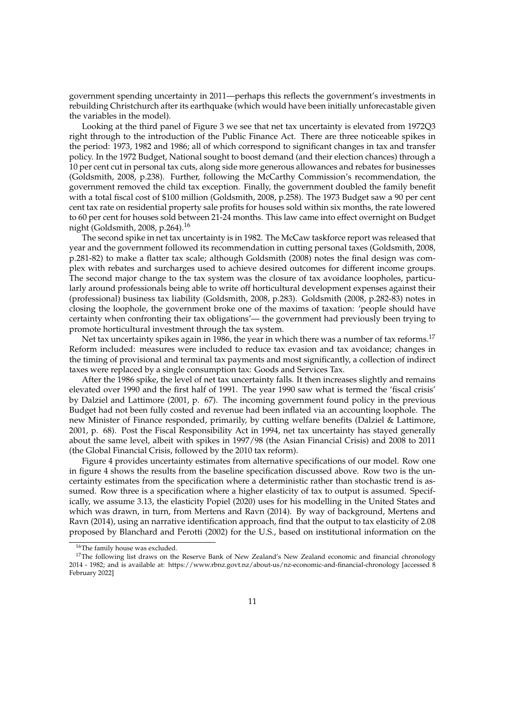government spending uncertainty in 2011—perhaps this reflects the government's investments in rebuilding Christchurch after its earthquake (which would have been initially unforecastable given the variables in the model).

Looking at the third panel of Figure 3 we see that net tax uncertainty is elevated from 1972Q3 right through to the introduction of the Public Finance Act. There are three noticeable spikes in the period: 1973, 1982 and 1986; all of which correspond to significant changes in tax and transfer policy. In the 1972 Budget, National sought to boost demand (and their election chances) through a 10 per cent cut in personal tax cuts, along side more generous allowances and rebates for businesses (Goldsmith, 2008, p.238). Further, following the McCarthy Commission's recommendation, the government removed the child tax exception. Finally, the government doubled the family benefit with a total fiscal cost of \$100 million (Goldsmith, 2008, p.258). The 1973 Budget saw a 90 per cent cent tax rate on residential property sale profits for houses sold within six months, the rate lowered to 60 per cent for houses sold between 21-24 months. This law came into effect overnight on Budget night (Goldsmith, 2008, p.264).<sup>16</sup>

The second spike in net tax uncertainty is in 1982. The McCaw taskforce report was released that year and the government followed its recommendation in cutting personal taxes (Goldsmith, 2008, p.281-82) to make a flatter tax scale; although Goldsmith (2008) notes the final design was complex with rebates and surcharges used to achieve desired outcomes for different income groups. The second major change to the tax system was the closure of tax avoidance loopholes, particularly around professionals being able to write off horticultural development expenses against their (professional) business tax liability (Goldsmith, 2008, p.283). Goldsmith (2008, p.282-83) notes in closing the loophole, the government broke one of the maxims of taxation: 'people should have certainty when confronting their tax obligations'— the government had previously been trying to promote horticultural investment through the tax system.

Net tax uncertainty spikes again in 1986, the year in which there was a number of tax reforms.<sup>17</sup> Reform included: measures were included to reduce tax evasion and tax avoidance; changes in the timing of provisional and terminal tax payments and most significantly, a collection of indirect taxes were replaced by a single consumption tax: Goods and Services Tax.

After the 1986 spike, the level of net tax uncertainty falls. It then increases slightly and remains elevated over 1990 and the first half of 1991. The year 1990 saw what is termed the 'fiscal crisis' by Dalziel and Lattimore (2001, p. 67). The incoming government found policy in the previous Budget had not been fully costed and revenue had been inflated via an accounting loophole. The new Minister of Finance responded, primarily, by cutting welfare benefits (Dalziel & Lattimore, 2001, p. 68). Post the Fiscal Responsibility Act in 1994, net tax uncertainty has stayed generally about the same level, albeit with spikes in 1997/98 (the Asian Financial Crisis) and 2008 to 2011 (the Global Financial Crisis, followed by the 2010 tax reform).

Figure 4 provides uncertainty estimates from alternative specifications of our model. Row one in figure 4 shows the results from the baseline specification discussed above. Row two is the uncertainty estimates from the specification where a deterministic rather than stochastic trend is assumed. Row three is a specification where a higher elasticity of tax to output is assumed. Specifically, we assume 3.13, the elasticity Popiel (2020) uses for his modelling in the United States and which was drawn, in turn, from Mertens and Ravn (2014). By way of background, Mertens and Ravn (2014), using an narrative identification approach, find that the output to tax elasticity of 2.08 proposed by Blanchard and Perotti (2002) for the U.S., based on institutional information on the

<sup>16</sup>The family house was excluded.

<sup>&</sup>lt;sup>17</sup>The following list draws on the Reserve Bank of New Zealand's New Zealand economic and financial chronology 2014 - 1982; and is available at: https://www.rbnz.govt.nz/about-us/nz-economic-and-financial-chronology [accessed 8 February 2022]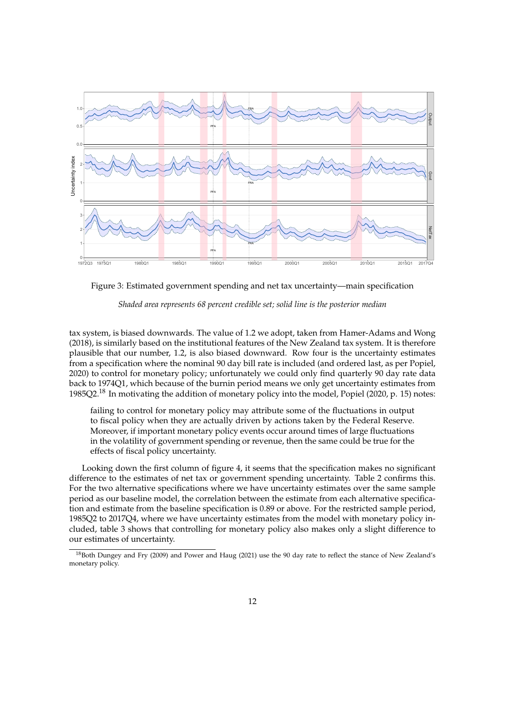

Figure 3: Estimated government spending and net tax uncertainty—main specification



tax system, is biased downwards. The value of 1.2 we adopt, taken from Hamer-Adams and Wong (2018), is similarly based on the institutional features of the New Zealand tax system. It is therefore plausible that our number, 1.2, is also biased downward. Row four is the uncertainty estimates from a specification where the nominal 90 day bill rate is included (and ordered last, as per Popiel, 2020) to control for monetary policy; unfortunately we could only find quarterly 90 day rate data back to 1974Q1, which because of the burnin period means we only get uncertainty estimates from 1985Q2.<sup>18</sup> In motivating the addition of monetary policy into the model, Popiel (2020, p. 15) notes:

failing to control for monetary policy may attribute some of the fluctuations in output to fiscal policy when they are actually driven by actions taken by the Federal Reserve. Moreover, if important monetary policy events occur around times of large fluctuations in the volatility of government spending or revenue, then the same could be true for the effects of fiscal policy uncertainty.

Looking down the first column of figure 4, it seems that the specification makes no significant difference to the estimates of net tax or government spending uncertainty. Table 2 confirms this. For the two alternative specifications where we have uncertainty estimates over the same sample period as our baseline model, the correlation between the estimate from each alternative specification and estimate from the baseline specification is 0.89 or above. For the restricted sample period, 1985Q2 to 2017Q4, where we have uncertainty estimates from the model with monetary policy included, table 3 shows that controlling for monetary policy also makes only a slight difference to our estimates of uncertainty.

<sup>&</sup>lt;sup>18</sup>Both Dungey and Fry (2009) and Power and Haug (2021) use the 90 day rate to reflect the stance of New Zealand's monetary policy.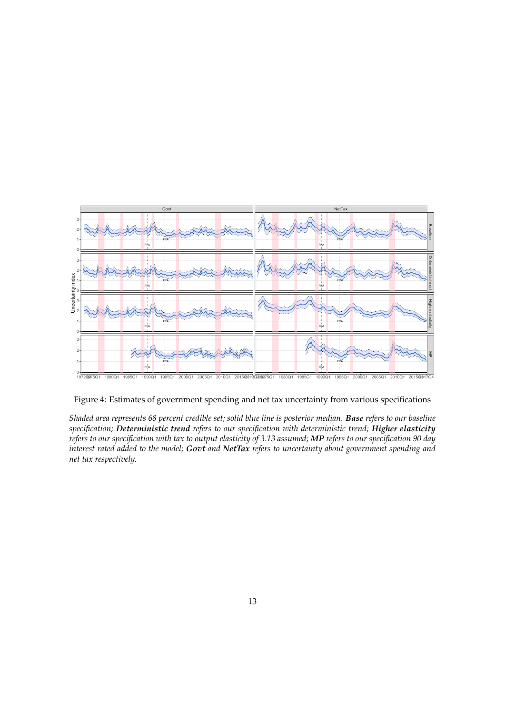

#### Figure 4: Estimates of government spending and net tax uncertainty from various specifications

*Shaded area represents 68 percent credible set; solid blue line is posterior median. Base refers to our baseline specification; Deterministic trend refers to our specification with deterministic trend; Higher elasticity refers to our specification with tax to output elasticity of 3.13 assumed; MP refers to our specification 90 day interest rated added to the model; Govt and NetTax refers to uncertainty about government spending and net tax respectively.*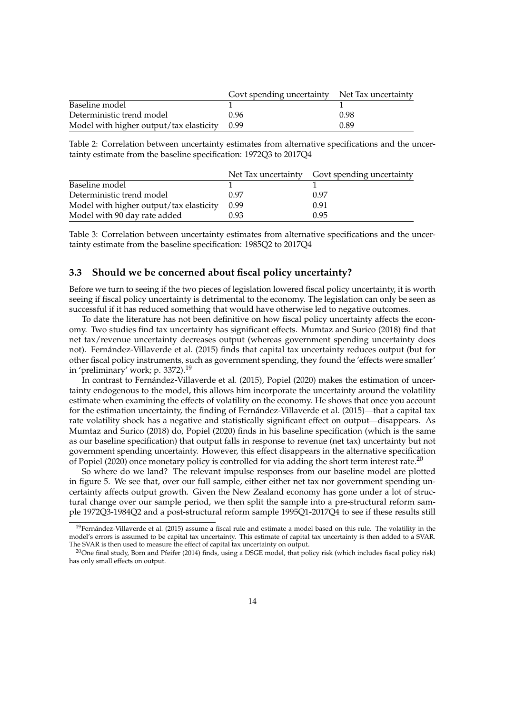|                                              | Govt spending uncertainty Net Tax uncertainty |      |
|----------------------------------------------|-----------------------------------------------|------|
| Baseline model                               |                                               |      |
| Deterministic trend model                    | 0.96                                          | 0.98 |
| Model with higher output/tax elasticity 0.99 |                                               | 0.89 |

Table 2: Correlation between uncertainty estimates from alternative specifications and the uncertainty estimate from the baseline specification: 1972Q3 to 2017Q4

|                                         |      | Net Tax uncertainty Govt spending uncertainty |
|-----------------------------------------|------|-----------------------------------------------|
| Baseline model                          |      |                                               |
| Deterministic trend model               | 0.97 | 0.97                                          |
| Model with higher output/tax elasticity | 0.99 | 0.91                                          |
| Model with 90 day rate added            | 0.93 | 0.95                                          |

Table 3: Correlation between uncertainty estimates from alternative specifications and the uncertainty estimate from the baseline specification: 1985Q2 to 2017Q4

#### **3.3 Should we be concerned about fiscal policy uncertainty?**

Before we turn to seeing if the two pieces of legislation lowered fiscal policy uncertainty, it is worth seeing if fiscal policy uncertainty is detrimental to the economy. The legislation can only be seen as successful if it has reduced something that would have otherwise led to negative outcomes.

To date the literature has not been definitive on how fiscal policy uncertainty affects the economy. Two studies find tax uncertainty has significant effects. Mumtaz and Surico (2018) find that net tax/revenue uncertainty decreases output (whereas government spending uncertainty does not). Fernández-Villaverde et al. (2015) finds that capital tax uncertainty reduces output (but for other fiscal policy instruments, such as government spending, they found the 'effects were smaller' in 'preliminary' work; p. 3372).<sup>19</sup>

In contrast to Fernández-Villaverde et al. (2015), Popiel (2020) makes the estimation of uncertainty endogenous to the model, this allows him incorporate the uncertainty around the volatility estimate when examining the effects of volatility on the economy. He shows that once you account for the estimation uncertainty, the finding of Fernández-Villaverde et al. (2015)—that a capital tax rate volatility shock has a negative and statistically significant effect on output—disappears. As Mumtaz and Surico (2018) do, Popiel (2020) finds in his baseline specification (which is the same as our baseline specification) that output falls in response to revenue (net tax) uncertainty but not government spending uncertainty. However, this effect disappears in the alternative specification of Popiel (2020) once monetary policy is controlled for via adding the short term interest rate.<sup>20</sup>

So where do we land? The relevant impulse responses from our baseline model are plotted in figure 5. We see that, over our full sample, either either net tax nor government spending uncertainty affects output growth. Given the New Zealand economy has gone under a lot of structural change over our sample period, we then split the sample into a pre-structural reform sample 1972Q3-1984Q2 and a post-structural reform sample 1995Q1-2017Q4 to see if these results still

 $19$ Fernández-Villaverde et al. (2015) assume a fiscal rule and estimate a model based on this rule. The volatility in the model's errors is assumed to be capital tax uncertainty. This estimate of capital tax uncertainty is then added to a SVAR. The SVAR is then used to measure the effect of capital tax uncertainty on output.

 $20$ One final study, Born and Pfeifer (2014) finds, using a DSGE model, that policy risk (which includes fiscal policy risk) has only small effects on output.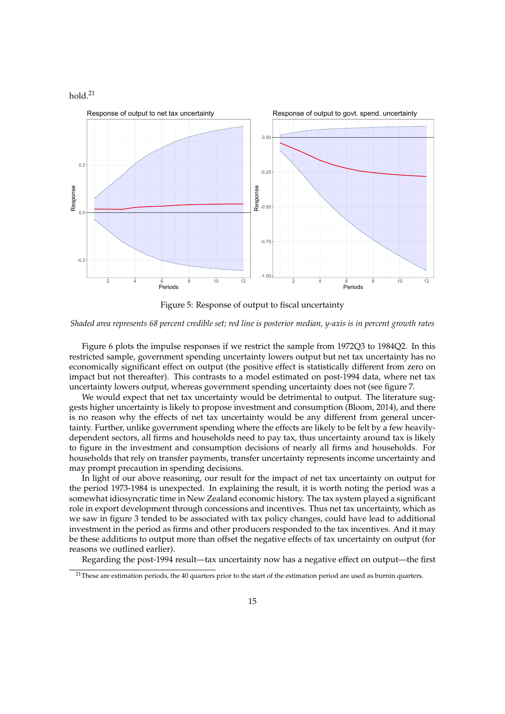

Figure 5: Response of output to fiscal uncertainty

*Shaded area represents 68 percent credible set; red line is posterior median, y-axis is in percent growth rates*

Figure 6 plots the impulse responses if we restrict the sample from 1972Q3 to 1984Q2. In this restricted sample, government spending uncertainty lowers output but net tax uncertainty has no economically significant effect on output (the positive effect is statistically different from zero on impact but not thereafter). This contrasts to a model estimated on post-1994 data, where net tax uncertainty lowers output, whereas government spending uncertainty does not (see figure 7.

We would expect that net tax uncertainty would be detrimental to output. The literature suggests higher uncertainty is likely to propose investment and consumption (Bloom, 2014), and there is no reason why the effects of net tax uncertainty would be any different from general uncertainty. Further, unlike government spending where the effects are likely to be felt by a few heavilydependent sectors, all firms and households need to pay tax, thus uncertainty around tax is likely to figure in the investment and consumption decisions of nearly all firms and households. For households that rely on transfer payments, transfer uncertainty represents income uncertainty and may prompt precaution in spending decisions.

In light of our above reasoning, our result for the impact of net tax uncertainty on output for the period 1973-1984 is unexpected. In explaining the result, it is worth noting the period was a somewhat idiosyncratic time in New Zealand economic history. The tax system played a significant role in export development through concessions and incentives. Thus net tax uncertainty, which as we saw in figure 3 tended to be associated with tax policy changes, could have lead to additional investment in the period as firms and other producers responded to the tax incentives. And it may be these additions to output more than offset the negative effects of tax uncertainty on output (for reasons we outlined earlier).

Regarding the post-1994 result—tax uncertainty now has a negative effect on output—the first

 $21$ These are estimation periods, the 40 quarters prior to the start of the estimation period are used as burnin quarters.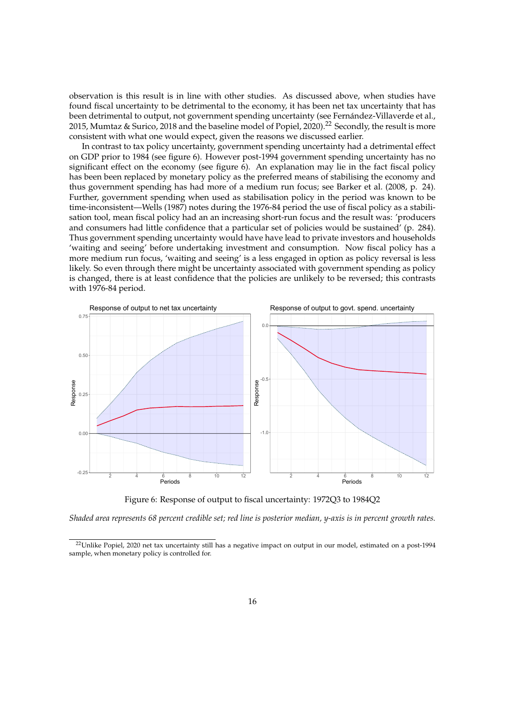observation is this result is in line with other studies. As discussed above, when studies have found fiscal uncertainty to be detrimental to the economy, it has been net tax uncertainty that has been detrimental to output, not government spending uncertainty (see Fernández-Villaverde et al., 2015, Mumtaz & Surico, 2018 and the baseline model of Popiel, 2020).<sup>22</sup> Secondly, the result is more consistent with what one would expect, given the reasons we discussed earlier.

In contrast to tax policy uncertainty, government spending uncertainty had a detrimental effect on GDP prior to 1984 (see figure 6). However post-1994 government spending uncertainty has no significant effect on the economy (see figure  $6$ ). An explanation may lie in the fact fiscal policy has been been replaced by monetary policy as the preferred means of stabilising the economy and thus government spending has had more of a medium run focus; see Barker et al. (2008, p. 24). Further, government spending when used as stabilisation policy in the period was known to be time-inconsistent—Wells (1987) notes during the 1976-84 period the use of fiscal policy as a stabilisation tool, mean fiscal policy had an an increasing short-run focus and the result was: 'producers and consumers had little confidence that a particular set of policies would be sustained' (p. 284). Thus government spending uncertainty would have have lead to private investors and households 'waiting and seeing' before undertaking investment and consumption. Now fiscal policy has a more medium run focus, 'waiting and seeing' is a less engaged in option as policy reversal is less likely. So even through there might be uncertainty associated with government spending as policy is changed, there is at least confidence that the policies are unlikely to be reversed; this contrasts with 1976-84 period.



Figure 6: Response of output to fiscal uncertainty: 1972Q3 to 1984Q2

*Shaded area represents 68 percent credible set; red line is posterior median, y-axis is in percent growth rates.*

<sup>&</sup>lt;sup>22</sup>Unlike Popiel, 2020 net tax uncertainty still has a negative impact on output in our model, estimated on a post-1994 sample, when monetary policy is controlled for.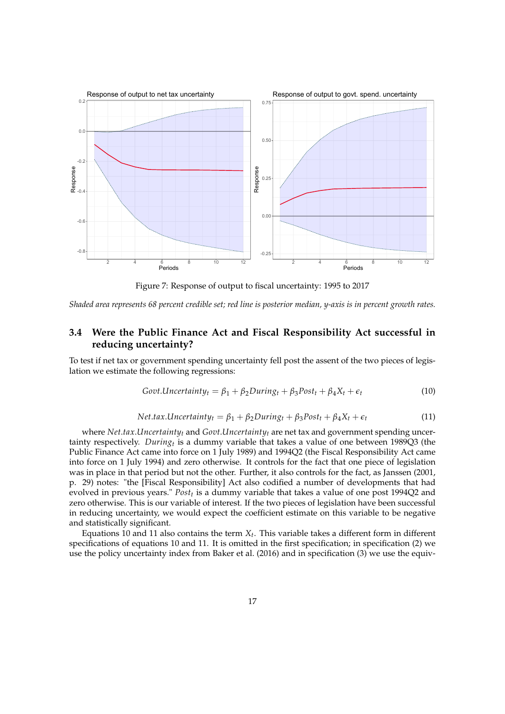

Figure 7: Response of output to fiscal uncertainty: 1995 to 2017

*Shaded area represents 68 percent credible set; red line is posterior median, y-axis is in percent growth rates.*

### **3.4 Were the Public Finance Act and Fiscal Responsibility Act successful in reducing uncertainty?**

To test if net tax or government spending uncertainty fell post the assent of the two pieces of legislation we estimate the following regressions:

$$
Govt.Uncertainty_t = \beta_1 + \beta_2 During_t + \beta_3 Post_t + \beta_4 X_t + \epsilon_t
$$
\n(10)

$$
Net. tax. Uncertainty_t = \beta_1 + \beta_2 During_t + \beta_3 Post_t + \beta_4 X_t + \epsilon_t
$$
\n(11)

where *Net*.*tax*.*Uncertainty<sup>t</sup>* and *Govt*.*Uncertainty<sup>t</sup>* are net tax and government spending uncertainty respectively. *During<sup>t</sup>* is a dummy variable that takes a value of one between 1989Q3 (the Public Finance Act came into force on 1 July 1989) and 1994Q2 (the Fiscal Responsibility Act came into force on 1 July 1994) and zero otherwise. It controls for the fact that one piece of legislation was in place in that period but not the other. Further, it also controls for the fact, as Janssen (2001, p. 29) notes: "the [Fiscal Responsibility] Act also codified a number of developments that had evolved in previous years." *Post<sup>t</sup>* is a dummy variable that takes a value of one post 1994Q2 and zero otherwise. This is our variable of interest. If the two pieces of legislation have been successful in reducing uncertainty, we would expect the coefficient estimate on this variable to be negative and statistically significant.

Equations 10 and 11 also contains the term *X<sup>t</sup>* . This variable takes a different form in different specifications of equations 10 and 11. It is omitted in the first specification; in specification (2) we use the policy uncertainty index from Baker et al. (2016) and in specification (3) we use the equiv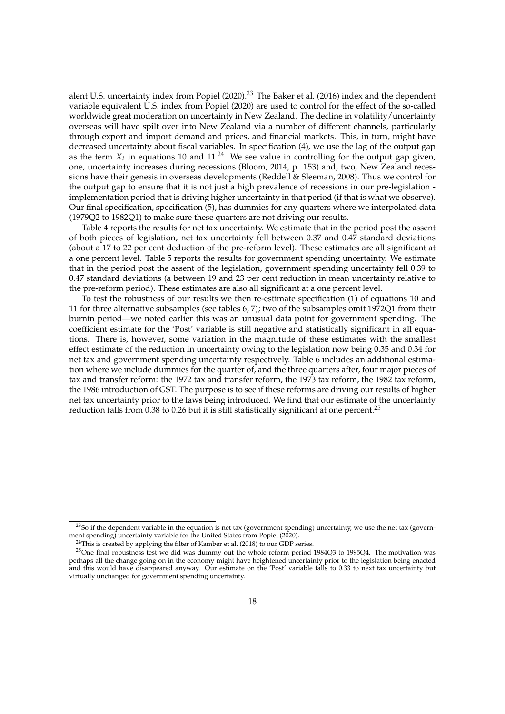alent U.S. uncertainty index from Popiel (2020).<sup>23</sup> The Baker et al. (2016) index and the dependent variable equivalent U.S. index from Popiel (2020) are used to control for the effect of the so-called worldwide great moderation on uncertainty in New Zealand. The decline in volatility/uncertainty overseas will have spilt over into New Zealand via a number of different channels, particularly through export and import demand and prices, and financial markets. This, in turn, might have decreased uncertainty about fiscal variables. In specification (4), we use the lag of the output gap as the term  $X_t$  in equations 10 and  $11.^{24}$  We see value in controlling for the output gap given, one, uncertainty increases during recessions (Bloom, 2014, p. 153) and, two, New Zealand recessions have their genesis in overseas developments (Reddell & Sleeman, 2008). Thus we control for the output gap to ensure that it is not just a high prevalence of recessions in our pre-legislation implementation period that is driving higher uncertainty in that period (if that is what we observe). Our final specification, specification (5), has dummies for any quarters where we interpolated data (1979Q2 to 1982Q1) to make sure these quarters are not driving our results.

Table 4 reports the results for net tax uncertainty. We estimate that in the period post the assent of both pieces of legislation, net tax uncertainty fell between 0.37 and 0.47 standard deviations (about a 17 to 22 per cent deduction of the pre-reform level). These estimates are all significant at a one percent level. Table 5 reports the results for government spending uncertainty. We estimate that in the period post the assent of the legislation, government spending uncertainty fell 0.39 to 0.47 standard deviations (a between 19 and 23 per cent reduction in mean uncertainty relative to the pre-reform period). These estimates are also all significant at a one percent level.

To test the robustness of our results we then re-estimate specification (1) of equations 10 and 11 for three alternative subsamples (see tables 6, 7); two of the subsamples omit 1972Q1 from their burnin period—we noted earlier this was an unusual data point for government spending. The coefficient estimate for the 'Post' variable is still negative and statistically significant in all equations. There is, however, some variation in the magnitude of these estimates with the smallest effect estimate of the reduction in uncertainty owing to the legislation now being 0.35 and 0.34 for net tax and government spending uncertainty respectively. Table 6 includes an additional estimation where we include dummies for the quarter of, and the three quarters after, four major pieces of tax and transfer reform: the 1972 tax and transfer reform, the 1973 tax reform, the 1982 tax reform, the 1986 introduction of GST. The purpose is to see if these reforms are driving our results of higher net tax uncertainty prior to the laws being introduced. We find that our estimate of the uncertainty reduction falls from 0.38 to 0.26 but it is still statistically significant at one percent.<sup>25</sup>

 $23$ So if the dependent variable in the equation is net tax (government spending) uncertainty, we use the net tax (government spending) uncertainty variable for the United States from Popiel (2020).

<sup>&</sup>lt;sup>24</sup>This is created by applying the filter of Kamber et al. (2018) to our GDP series.

<sup>25</sup>One final robustness test we did was dummy out the whole reform period 1984Q3 to 1995Q4. The motivation was perhaps all the change going on in the economy might have heightened uncertainty prior to the legislation being enacted and this would have disappeared anyway. Our estimate on the 'Post' variable falls to 0.33 to next tax uncertainty but virtually unchanged for government spending uncertainty.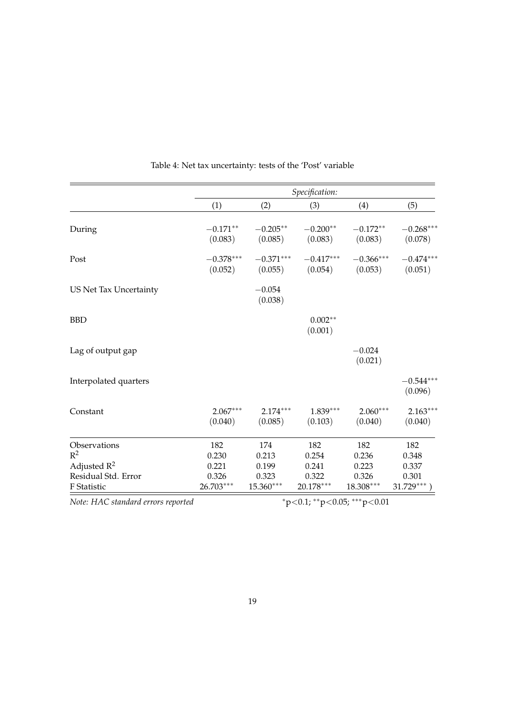|                                                      | Specification:                    |                             |                                    |                             |                                 |
|------------------------------------------------------|-----------------------------------|-----------------------------|------------------------------------|-----------------------------|---------------------------------|
|                                                      | (1)                               | (2)                         | (3)                                | (4)                         | (5)                             |
| During                                               | $-0.171**$<br>(0.083)             | $-0.205**$<br>(0.085)       | $-0.200**$<br>(0.083)              | $-0.172**$<br>(0.083)       | $-0.268***$<br>(0.078)          |
| Post                                                 | $-0.378***$<br>(0.052)            | $-0.371***$<br>(0.055)      | $-0.417^{\ast\ast\ast}$<br>(0.054) | $-0.366***$<br>(0.053)      | $-0.474***$<br>(0.051)          |
| US Net Tax Uncertainty                               |                                   | $-0.054$<br>(0.038)         |                                    |                             |                                 |
| <b>BBD</b>                                           |                                   |                             | $0.002**$<br>(0.001)               |                             |                                 |
| Lag of output gap                                    |                                   |                             |                                    | $-0.024$<br>(0.021)         |                                 |
| Interpolated quarters                                |                                   |                             |                                    |                             | $-0.544***$<br>(0.096)          |
| Constant                                             | $2.067***$<br>(0.040)             | $2.174***$<br>(0.085)       | $1.839***$<br>(0.103)              | $2.060***$<br>(0.040)       | $2.163***$<br>(0.040)           |
| Observations<br>$R^2$                                | 182<br>0.230                      | 174<br>0.213                | 182<br>0.254                       | 182<br>0.236                | 182<br>0.348                    |
| Adjusted $R^2$<br>Residual Std. Error<br>F Statistic | 0.221<br>0.326<br>26.703***       | 0.199<br>0.323<br>15.360*** | 0.241<br>0.322<br>20.178***        | 0.223<br>0.326<br>18.308*** | 0.337<br>0.301<br>$31.729***$ ) |
| Note: HAC standard errors reported                   | $*p<0.1$ ; $*p<0.05$ ; $**p<0.01$ |                             |                                    |                             |                                 |

Table 4: Net tax uncertainty: tests of the 'Post' variable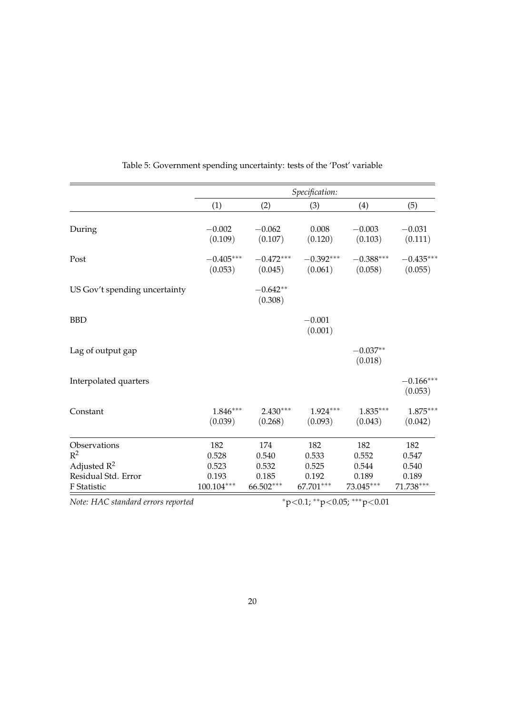|                                                      | Specification:                 |                             |                             |                             |                             |
|------------------------------------------------------|--------------------------------|-----------------------------|-----------------------------|-----------------------------|-----------------------------|
|                                                      | (1)                            | (2)                         | (3)                         | (4)                         | (5)                         |
| During                                               | $-0.002$<br>(0.109)            | $-0.062$<br>(0.107)         | 0.008<br>(0.120)            | $-0.003$<br>(0.103)         | $-0.031$<br>(0.111)         |
| Post                                                 | $-0.405***$<br>(0.053)         | $-0.472***$<br>(0.045)      | $-0.392***$<br>(0.061)      | $-0.388***$<br>(0.058)      | $-0.435***$<br>(0.055)      |
| US Gov't spending uncertainty                        |                                | $-0.642**$<br>(0.308)       |                             |                             |                             |
| <b>BBD</b>                                           |                                |                             | $-0.001$<br>(0.001)         |                             |                             |
| Lag of output gap                                    |                                |                             |                             | $-0.037**$<br>(0.018)       |                             |
| Interpolated quarters                                |                                |                             |                             |                             | $-0.166***$<br>(0.053)      |
| Constant                                             | $1.846***$<br>(0.039)          | $2.430***$<br>(0.268)       | $1.924***$<br>(0.093)       | $1.835***$<br>(0.043)       | $1.875***$<br>(0.042)       |
| Observations<br>$R^2$                                | 182<br>0.528                   | 174<br>0.540                | 182<br>0.533                | 182<br>0.552                | 182<br>0.547                |
| Adjusted $R^2$<br>Residual Std. Error<br>F Statistic | 0.523<br>0.193<br>$100.104***$ | 0.532<br>0.185<br>66.502*** | 0.525<br>0.192<br>67.701*** | 0.544<br>0.189<br>73.045*** | 0.540<br>0.189<br>71.738*** |

Table 5: Government spending uncertainty: tests of the 'Post' variable

*Note: HAC standard errors reported* <sup>∗</sup>p<0.1; ∗∗p<0.05; ∗∗∗p<0.01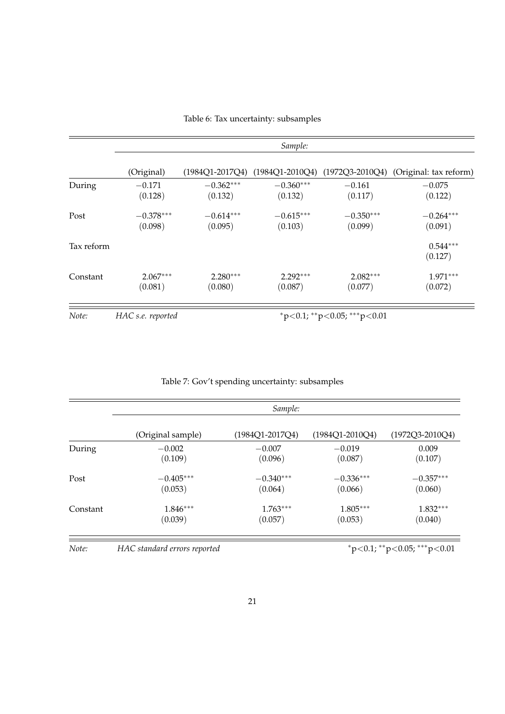|            |                        |                        | Sample:                                         |                                   |                        |
|------------|------------------------|------------------------|-------------------------------------------------|-----------------------------------|------------------------|
|            | (Original)             |                        | (1984Q1-2017Q4) (1984Q1-2010Q4) (1972Q3-2010Q4) |                                   | (Original: tax reform) |
| During     | $-0.171$<br>(0.128)    | $-0.362***$<br>(0.132) | $-0.360***$<br>(0.132)                          | $-0.161$<br>(0.117)               | $-0.075$<br>(0.122)    |
| Post       | $-0.378***$<br>(0.098) | $-0.614***$<br>(0.095) | $-0.615***$<br>(0.103)                          | $-0.350***$<br>(0.099)            | $-0.264***$<br>(0.091) |
| Tax reform |                        |                        |                                                 |                                   | $0.544***$<br>(0.127)  |
| Constant   | $2.067***$<br>(0.081)  | $2.280***$<br>(0.080)  | $2.292***$<br>(0.087)                           | $2.082***$<br>(0.077)             | $1.971***$<br>(0.072)  |
| Note:      | HAC s.e. reported      |                        |                                                 | $*p<0.1$ ; $*p<0.05$ ; $**p<0.01$ |                        |

Table 6: Tax uncertainty: subsamples

|  |  | Table 7: Gov't spending uncertainty: subsamples |
|--|--|-------------------------------------------------|
|  |  |                                                 |

|          | Sample:           |                     |                     |                     |  |
|----------|-------------------|---------------------|---------------------|---------------------|--|
|          | (Original sample) | $(1984Q1 - 2017Q4)$ | $(1984Q1 - 2010Q4)$ | $(1972Q3 - 2010Q4)$ |  |
| During   | $-0.002$          | $-0.007$            | $-0.019$            | 0.009               |  |
|          | (0.109)           | (0.096)             | (0.087)             | (0.107)             |  |
| Post     | $-0.405***$       | $-0.340***$         | $-0.336***$         | $-0.357***$         |  |
|          | (0.053)           | (0.064)             | (0.066)             | (0.060)             |  |
| Constant | $1.846***$        | $1.763***$          | $1.805***$          | $1.832***$          |  |
|          | (0.039)           | (0.057)             | (0.053)             | (0.040)             |  |

*Note: HAC standard errors reported* <sup>∗</sup>p<0.1; ∗∗p<0.05; ∗∗∗p<0.01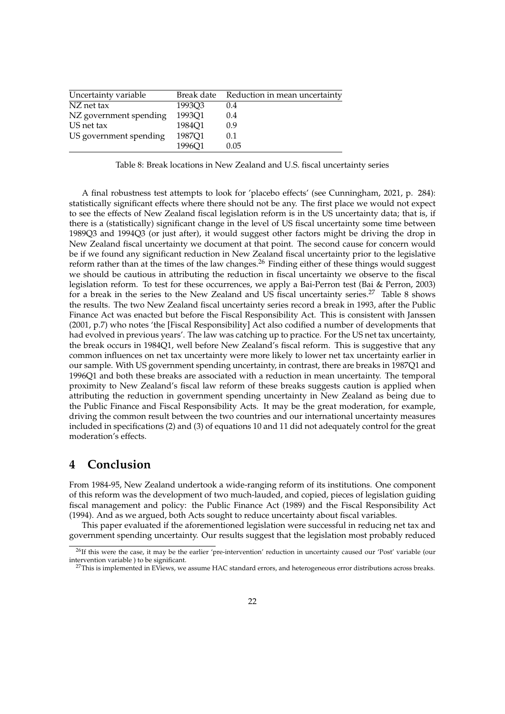| Uncertainty variable   | Break date | Reduction in mean uncertainty |
|------------------------|------------|-------------------------------|
| NZ net tax             | 1993Q3     | 0.4                           |
| NZ government spending | 1993Q1     | 0.4                           |
| US net tax             | 1984Q1     | 0.9                           |
| US government spending | 1987Q1     | 0.1                           |
|                        | 1996Q1     | 0.05                          |

Table 8: Break locations in New Zealand and U.S. fiscal uncertainty series

A final robustness test attempts to look for 'placebo effects' (see Cunningham, 2021, p. 284): statistically significant effects where there should not be any. The first place we would not expect to see the effects of New Zealand fiscal legislation reform is in the US uncertainty data; that is, if there is a (statistically) significant change in the level of US fiscal uncertainty some time between 1989Q3 and 1994Q3 (or just after), it would suggest other factors might be driving the drop in New Zealand fiscal uncertainty we document at that point. The second cause for concern would be if we found any significant reduction in New Zealand fiscal uncertainty prior to the legislative reform rather than at the times of the law changes.<sup>26</sup> Finding either of these things would suggest we should be cautious in attributing the reduction in fiscal uncertainty we observe to the fiscal legislation reform. To test for these occurrences, we apply a Bai-Perron test (Bai & Perron, 2003) for a break in the series to the New Zealand and US fiscal uncertainty series.<sup>27</sup> Table 8 shows the results. The two New Zealand fiscal uncertainty series record a break in 1993, after the Public Finance Act was enacted but before the Fiscal Responsibility Act. This is consistent with Janssen (2001, p.7) who notes 'the [Fiscal Responsibility] Act also codified a number of developments that had evolved in previous years'. The law was catching up to practice. For the US net tax uncertainty, the break occurs in 1984Q1, well before New Zealand's fiscal reform. This is suggestive that any common influences on net tax uncertainty were more likely to lower net tax uncertainty earlier in our sample. With US government spending uncertainty, in contrast, there are breaks in 1987Q1 and 1996Q1 and both these breaks are associated with a reduction in mean uncertainty. The temporal proximity to New Zealand's fiscal law reform of these breaks suggests caution is applied when attributing the reduction in government spending uncertainty in New Zealand as being due to the Public Finance and Fiscal Responsibility Acts. It may be the great moderation, for example, driving the common result between the two countries and our international uncertainty measures included in specifications (2) and (3) of equations 10 and 11 did not adequately control for the great moderation's effects.

## **4 Conclusion**

From 1984-95, New Zealand undertook a wide-ranging reform of its institutions. One component of this reform was the development of two much-lauded, and copied, pieces of legislation guiding fiscal management and policy: the Public Finance Act (1989) and the Fiscal Responsibility Act (1994). And as we argued, both Acts sought to reduce uncertainty about fiscal variables.

This paper evaluated if the aforementioned legislation were successful in reducing net tax and government spending uncertainty. Our results suggest that the legislation most probably reduced

<sup>&</sup>lt;sup>26</sup>If this were the case, it may be the earlier 'pre-intervention' reduction in uncertainty caused our 'Post' variable (our intervention variable ) to be significant.

 $27$ This is implemented in EViews, we assume HAC standard errors, and heterogeneous error distributions across breaks.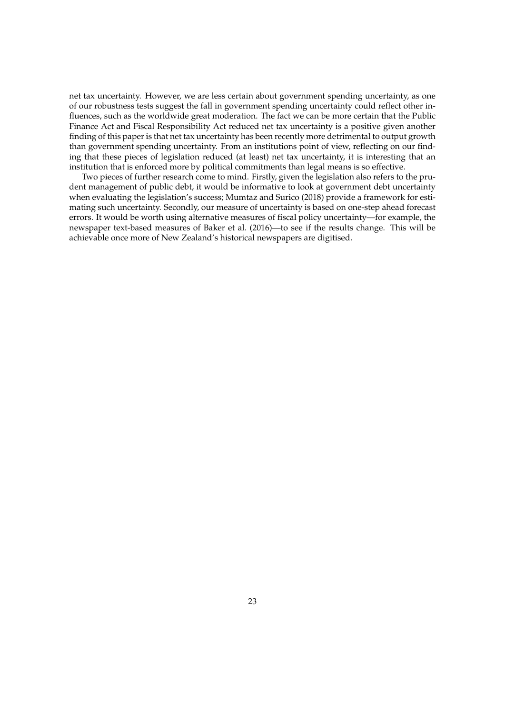net tax uncertainty. However, we are less certain about government spending uncertainty, as one of our robustness tests suggest the fall in government spending uncertainty could reflect other influences, such as the worldwide great moderation. The fact we can be more certain that the Public Finance Act and Fiscal Responsibility Act reduced net tax uncertainty is a positive given another finding of this paper is that net tax uncertainty has been recently more detrimental to output growth than government spending uncertainty. From an institutions point of view, reflecting on our finding that these pieces of legislation reduced (at least) net tax uncertainty, it is interesting that an institution that is enforced more by political commitments than legal means is so effective.

Two pieces of further research come to mind. Firstly, given the legislation also refers to the prudent management of public debt, it would be informative to look at government debt uncertainty when evaluating the legislation's success; Mumtaz and Surico (2018) provide a framework for estimating such uncertainty. Secondly, our measure of uncertainty is based on one-step ahead forecast errors. It would be worth using alternative measures of fiscal policy uncertainty—for example, the newspaper text-based measures of Baker et al. (2016)—to see if the results change. This will be achievable once more of New Zealand's historical newspapers are digitised.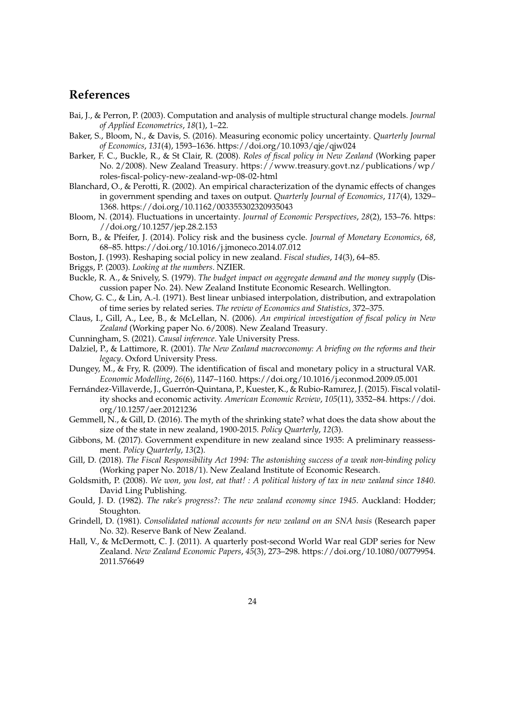# **References**

- Bai, J., & Perron, P. (2003). Computation and analysis of multiple structural change models. *Journal of Applied Econometrics*, *18*(1), 1–22.
- Baker, S., Bloom, N., & Davis, S. (2016). Measuring economic policy uncertainty. *Quarterly Journal of Economics*, *131*(4), 1593–1636. https://doi.org/10.1093/qje/qjw024
- Barker, F. C., Buckle, R., & St Clair, R. (2008). *Roles of fiscal policy in New Zealand* (Working paper No. 2/2008). New Zealand Treasury. https://www.treasury.govt.nz/publications/wp/ roles-fiscal-policy-new-zealand-wp-08-02-html
- Blanchard, O., & Perotti, R. (2002). An empirical characterization of the dynamic effects of changes in government spending and taxes on output. *Quarterly Journal of Economics*, *117*(4), 1329– 1368. https://doi.org/10.1162/003355302320935043
- Bloom, N. (2014). Fluctuations in uncertainty. *Journal of Economic Perspectives*, *28*(2), 153–76. https: //doi.org/10.1257/jep.28.2.153
- Born, B., & Pfeifer, J. (2014). Policy risk and the business cycle. *Journal of Monetary Economics*, *68*, 68–85. https://doi.org/10.1016/j.jmoneco.2014.07.012
- Boston, J. (1993). Reshaping social policy in new zealand. *Fiscal studies*, *14*(3), 64–85.
- Briggs, P. (2003). *Looking at the numbers*. NZIER.
- Buckle, R. A., & Snively, S. (1979). *The budget impact on aggregate demand and the money supply* (Discussion paper No. 24). New Zealand Institute Economic Research. Wellington.
- Chow, G. C., & Lin, A.-l. (1971). Best linear unbiased interpolation, distribution, and extrapolation of time series by related series. *The review of Economics and Statistics*, 372–375.
- Claus, I., Gill, A., Lee, B., & McLellan, N. (2006). *An empirical investigation of fiscal policy in New Zealand* (Working paper No. 6/2008). New Zealand Treasury.
- Cunningham, S. (2021). *Causal inference*. Yale University Press.
- Dalziel, P., & Lattimore, R. (2001). *The New Zealand macroeconomy: A briefing on the reforms and their legacy*. Oxford University Press.
- Dungey, M., & Fry, R. (2009). The identification of fiscal and monetary policy in a structural VAR. *Economic Modelling*, *26*(6), 1147–1160. https://doi.org/10.1016/j.econmod.2009.05.001
- Fernández-Villaverde, J., Guerrón-Quintana, P., Kuester, K., & Rubio-Ramırez, J. (2015). Fiscal volatility shocks and economic activity. *American Economic Review*, *105*(11), 3352–84. https://doi. org/10.1257/aer.20121236
- Gemmell, N., & Gill, D. (2016). The myth of the shrinking state? what does the data show about the size of the state in new zealand, 1900-2015. *Policy Quarterly*, *12*(3).
- Gibbons, M. (2017). Government expenditure in new zealand since 1935: A preliminary reassessment. *Policy Quarterly*, *13*(2).
- Gill, D. (2018). *The Fiscal Responsibility Act 1994: The astonishing success of a weak non-binding policy* (Working paper No. 2018/1). New Zealand Institute of Economic Research.
- Goldsmith, P. (2008). *We won, you lost, eat that! : A political history of tax in new zealand since 1840*. David Ling Publishing.
- Gould, J. D. (1982). *The rake's progress?: The new zealand economy since 1945*. Auckland: Hodder; Stoughton.
- Grindell, D. (1981). *Consolidated national accounts for new zealand on an SNA basis* (Research paper No. 32). Reserve Bank of New Zealand.
- Hall, V., & McDermott, C. J. (2011). A quarterly post-second World War real GDP series for New Zealand. *New Zealand Economic Papers*, *45*(3), 273–298. https://doi.org/10.1080/00779954. 2011.576649